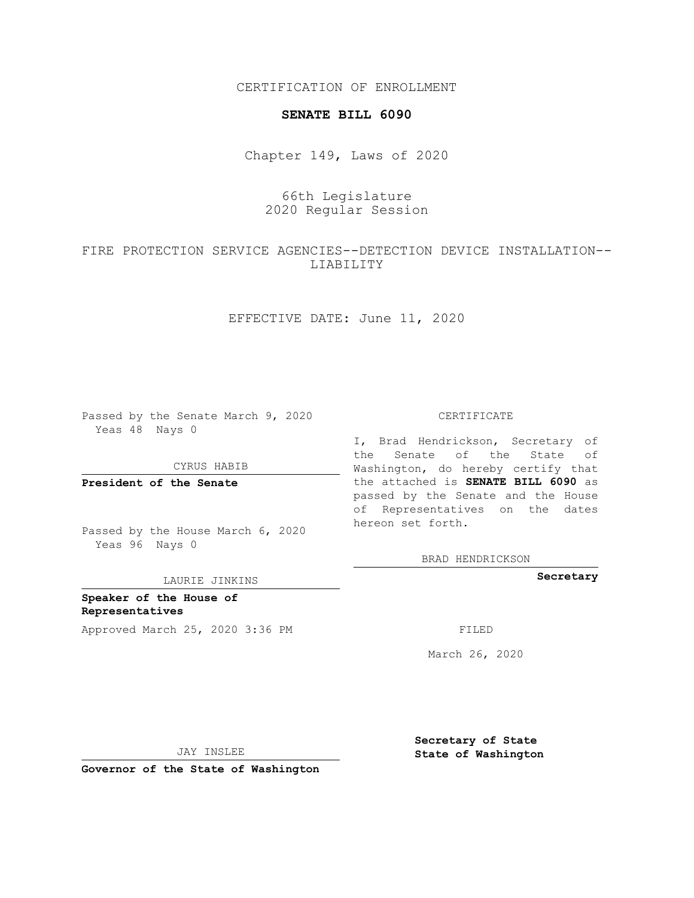CERTIFICATION OF ENROLLMENT

### **SENATE BILL 6090**

Chapter 149, Laws of 2020

# 66th Legislature 2020 Regular Session

# FIRE PROTECTION SERVICE AGENCIES--DETECTION DEVICE INSTALLATION-- LIABILITY

EFFECTIVE DATE: June 11, 2020

Passed by the Senate March 9, 2020 Yeas 48 Nays 0

CYRUS HABIB

**President of the Senate**

Passed by the House March 6, 2020 Yeas 96 Nays 0

LAURIE JINKINS

**Speaker of the House of Representatives** Approved March 25, 2020 3:36 PM

#### CERTIFICATE

I, Brad Hendrickson, Secretary of the Senate of the State of Washington, do hereby certify that the attached is **SENATE BILL 6090** as passed by the Senate and the House of Representatives on the dates hereon set forth.

BRAD HENDRICKSON

**Secretary**

March 26, 2020

JAY INSLEE

**Secretary of State State of Washington**

**Governor of the State of Washington**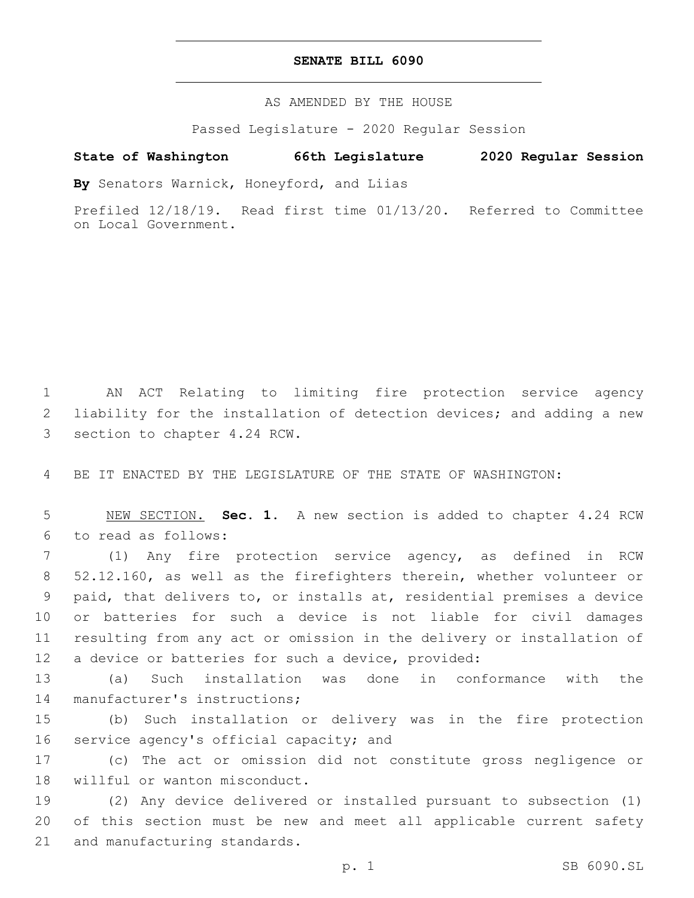### **SENATE BILL 6090**

AS AMENDED BY THE HOUSE

Passed Legislature - 2020 Regular Session

## **State of Washington 66th Legislature 2020 Regular Session**

**By** Senators Warnick, Honeyford, and Liias

Prefiled 12/18/19. Read first time 01/13/20. Referred to Committee on Local Government.

1 AN ACT Relating to limiting fire protection service agency 2 liability for the installation of detection devices; and adding a new 3 section to chapter 4.24 RCW.

4 BE IT ENACTED BY THE LEGISLATURE OF THE STATE OF WASHINGTON:

5 NEW SECTION. **Sec. 1.** A new section is added to chapter 4.24 RCW to read as follows:6

 (1) Any fire protection service agency, as defined in RCW 52.12.160, as well as the firefighters therein, whether volunteer or paid, that delivers to, or installs at, residential premises a device or batteries for such a device is not liable for civil damages resulting from any act or omission in the delivery or installation of a device or batteries for such a device, provided:

13 (a) Such installation was done in conformance with the 14 manufacturer's instructions;

15 (b) Such installation or delivery was in the fire protection 16 service agency's official capacity; and

17 (c) The act or omission did not constitute gross negligence or 18 willful or wanton misconduct.

19 (2) Any device delivered or installed pursuant to subsection (1) 20 of this section must be new and meet all applicable current safety 21 and manufacturing standards.